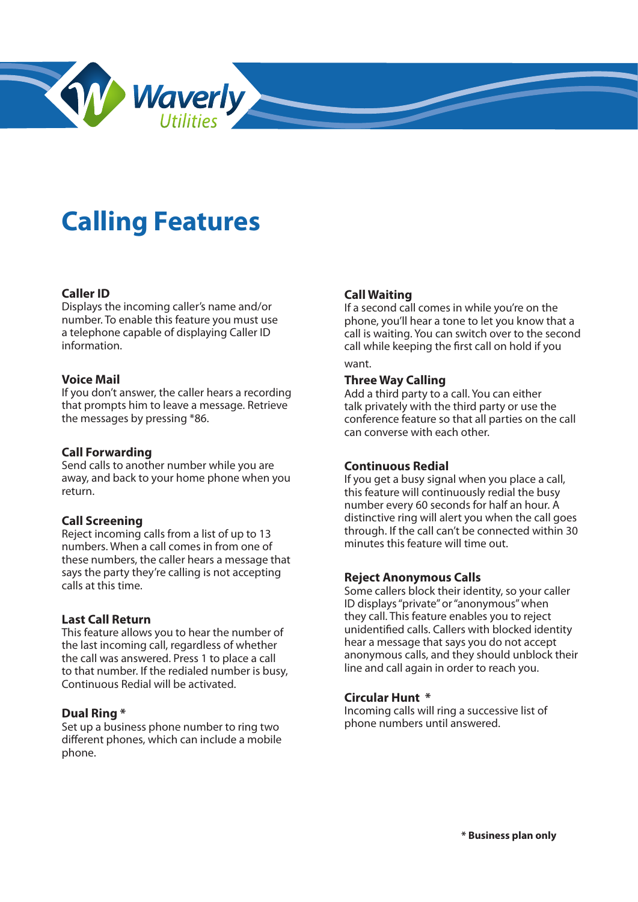

# **Calling Features**

## **Caller ID**

Displays the incoming caller's name and/or number. To enable this feature you must use a telephone capable of displaying Caller ID information.

## **Voice Mail**

If you don't answer, the caller hears a recording that prompts him to leave a message. Retrieve the messages by pressing \*86.

### **Call Forwarding**

Send calls to another number while you are away, and back to your home phone when you return.

## **Call Screening**

Reject incoming calls from a list of up to 13 numbers. When a call comes in from one of these numbers, the caller hears a message that says the party they're calling is not accepting calls at this time.

## **Last Call Return**

This feature allows you to hear the number of the last incoming call, regardless of whether the call was answered. Press 1 to place a call to that number. If the redialed number is busy, Continuous Redial will be activated.

### **Dual Ring \***

Set up a business phone number to ring two different phones, which can include a mobile phone.

#### **Call Waiting**

If a second call comes in while you're on the phone, you'll hear a tone to let you know that a call is waiting. You can switch over to the second call while keeping the first call on hold if you

## want.

## **Three Way Calling**

Add a third party to a call. You can either talk privately with the third party or use the conference feature so that all parties on the call can converse with each other.

#### **Continuous Redial**

If you get a busy signal when you place a call, this feature will continuously redial the busy number every 60 seconds for half an hour. A distinctive ring will alert you when the call goes through. If the call can't be connected within 30 minutes this feature will time out.

## **Reject Anonymous Calls**

Some callers block their identity, so your caller ID displays "private" or "anonymous" when they call. This feature enables you to reject unidentified calls. Callers with blocked identity hear a message that says you do not accept anonymous calls, and they should unblock their line and call again in order to reach you.

## **Circular Hunt \***

Incoming calls will ring a successive list of phone numbers until answered.